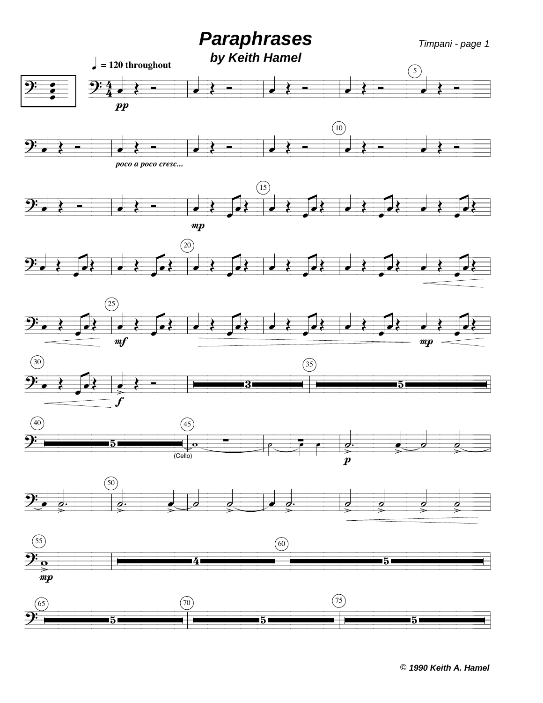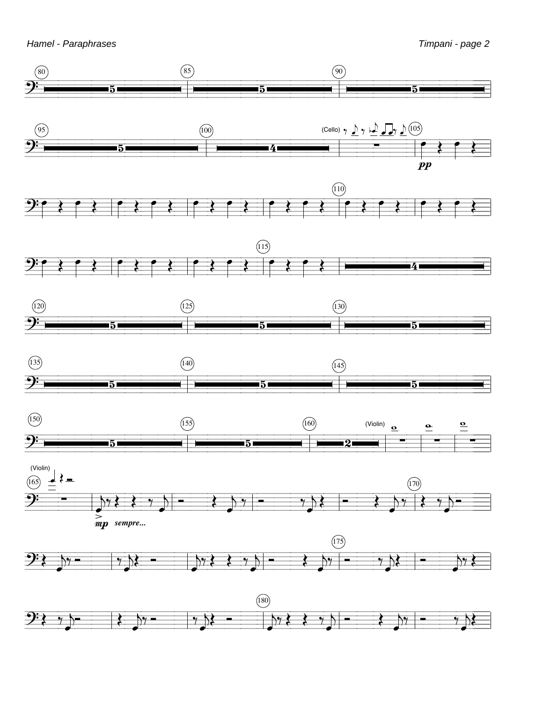Hamel - Paraphrases